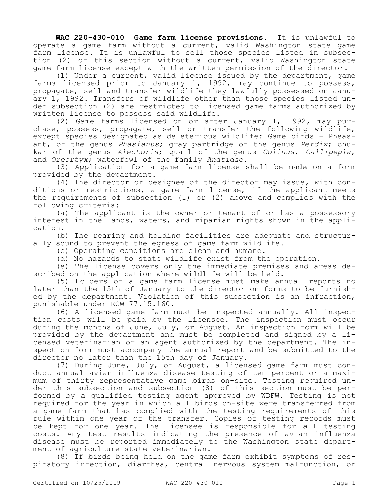**WAC 220-430-010 Game farm license provisions.** It is unlawful to operate a game farm without a current, valid Washington state game farm license. It is unlawful to sell those species listed in subsection (2) of this section without a current, valid Washington state game farm license except with the written permission of the director.

(1) Under a current, valid license issued by the department, game farms licensed prior to January 1, 1992, may continue to possess, propagate, sell and transfer wildlife they lawfully possessed on January 1, 1992. Transfers of wildlife other than those species listed under subsection (2) are restricted to licensed game farms authorized by written license to possess said wildlife.

(2) Game farms licensed on or after January 1, 1992, may purchase, possess, propagate, sell or transfer the following wildlife, except species designated as deleterious wildlife: Game birds - Pheasant, of the genus *Phasianus*; gray partridge of the genus *Perdix*; chukar of the genus *Alectoris*; quail of the genus *Colinus*, *Callipepla*, and *Oreortyx*; waterfowl of the family *Anatidae.*

(3) Application for a game farm license shall be made on a form provided by the department.

(4) The director or designee of the director may issue, with conditions or restrictions, a game farm license, if the applicant meets the requirements of subsection (1) or (2) above and complies with the following criteria:

(a) The applicant is the owner or tenant of or has a possessory interest in the lands, waters, and riparian rights shown in the application.

(b) The rearing and holding facilities are adequate and structurally sound to prevent the egress of game farm wildlife.

(c) Operating conditions are clean and humane.

(d) No hazards to state wildlife exist from the operation.

(e) The license covers only the immediate premises and areas described on the application where wildlife will be held.

(5) Holders of a game farm license must make annual reports no later than the 15th of January to the director on forms to be furnished by the department. Violation of this subsection is an infraction, punishable under RCW 77.15.160.

(6) A licensed game farm must be inspected annually. All inspection costs will be paid by the licensee. The inspection must occur during the months of June, July, or August. An inspection form will be provided by the department and must be completed and signed by a licensed veterinarian or an agent authorized by the department. The inspection form must accompany the annual report and be submitted to the director no later than the 15th day of January.

(7) During June, July, or August, a licensed game farm must conduct annual avian influenza disease testing of ten percent or a maximum of thirty representative game birds on-site. Testing required under this subsection and subsection (8) of this section must be performed by a qualified testing agent approved by WDFW. Testing is not required for the year in which all birds on-site were transferred from a game farm that has complied with the testing requirements of this rule within one year of the transfer. Copies of testing records must be kept for one year. The licensee is responsible for all testing costs. Any test results indicating the presence of avian influenza disease must be reported immediately to the Washington state department of agriculture state veterinarian.

(8) If birds being held on the game farm exhibit symptoms of respiratory infection, diarrhea, central nervous system malfunction, or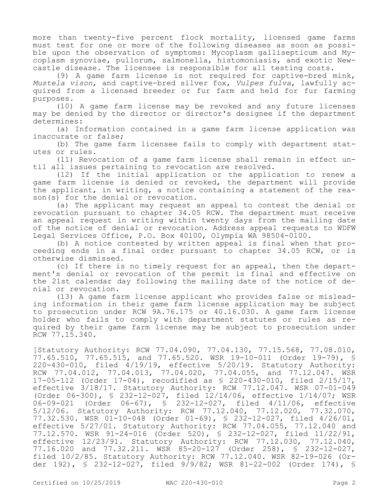more than twenty-five percent flock mortality, licensed game farms must test for one or more of the following diseases as soon as possible upon the observation of symptoms: Mycoplasm gallisepticum and Mycoplasm synoviae, pullorum, salmonella, histomoniasis, and exotic Newcastle disease. The licensee is responsible for all testing costs.

(9) A game farm license is not required for captive-bred mink, *Mustela vison*, and captive-bred silver fox, *Vulpes fulva*, lawfully acquired from a licensed breeder or fur farm and held for fur farming purposes.

(10) A game farm license may be revoked and any future licenses may be denied by the director or director's designee if the department determines:

(a) Information contained in a game farm license application was inaccurate or false;

(b) The game farm licensee fails to comply with department statutes or rules.

(11) Revocation of a game farm license shall remain in effect until all issues pertaining to revocation are resolved.

(12) If the initial application or the application to renew a game farm license is denied or revoked, the department will provide the applicant, in writing, a notice containing a statement of the reason(s) for the denial or revocation.

(a) The applicant may request an appeal to contest the denial or revocation pursuant to chapter 34.05 RCW. The department must receive an appeal request in writing within twenty days from the mailing date of the notice of denial or revocation. Address appeal requests to WDFW Legal Services Office, P.O. Box 40100, Olympia WA 98504-0100.

(b) A notice contested by written appeal is final when that proceeding ends in a final order pursuant to chapter 34.05 RCW, or is otherwise dismissed.

(c) If there is no timely request for an appeal, then the department's denial or revocation of the permit is final and effective on the 21st calendar day following the mailing date of the notice of denial or revocation.

(13) A game farm license applicant who provides false or misleading information in their game farm license application may be subject to prosecution under RCW 9A.76.175 or 40.16.030. A game farm license holder who fails to comply with department statutes or rules as required by their game farm license may be subject to prosecution under RCW 77.15.340.

[Statutory Authority: RCW 77.04.090, 77.04.130, 77.15.568, 77.08.010, 77.65.510, 77.65.515, and 77.65.520. WSR 19-10-011 (Order 19-79), § 220-430-010, filed 4/19/19, effective 5/20/19. Statutory Authority: RCW 77.04.012, 77.04.013, 77.04.020, 77.04.055, and 77.12.047. WSR 17-05-112 (Order 17-04), recodified as § 220-430-010, filed 2/15/17, effective 3/18/17. Statutory Authority: RCW 77.12.047. WSR 07-01-049 (Order 06-300), § 232-12-027, filed 12/14/06, effective 1/14/07; WSR 06-09-021 (Order 06-67), § 232-12-027, filed 4/11/06, effective 5/12/06. Statutory Authority: RCW 77.12.040, 77.12.020, 77.32.070, 77.32.530. WSR 01-10-048 (Order 01-69), § 232-12-027, filed 4/26/01, effective 5/27/01. Statutory Authority: RCW 77.04.055, 77.12.040 and 77.12.570. WSR 91-24-016 (Order 520), § 232-12-027, filed 11/22/91, effective 12/23/91. Statutory Authority: RCW 77.12.030, 77.12.040, 77.16.020 and 77.32.211. WSR 85-20-127 (Order 258), § 232-12-027, filed 10/2/85. Statutory Authority: RCW 77.12.040. WSR 82-19-026 (Order 192), § 232-12-027, filed 9/9/82; WSR 81-22-002 (Order 174), §